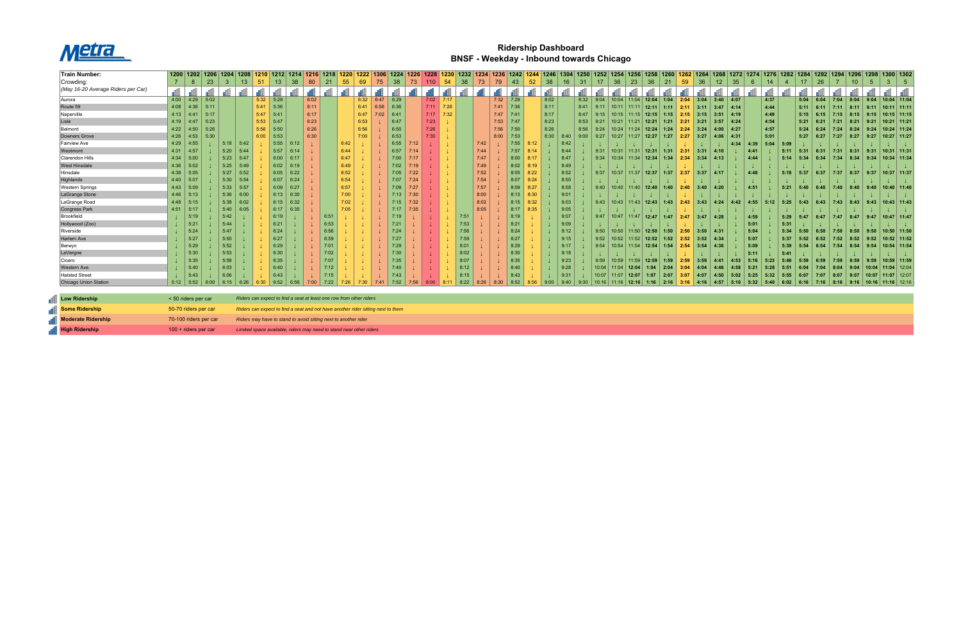

## **Ridership Dashboard BNSF - Weekday - Inbound towards Chicago**

| Train Number:                      |                        |             |      | 1200   1202   1206   1204 |      | 1208 1210 |       | 1212   1214   1216   1218                                           |      |      | 1220     | 1222 1306                                                                        |      | 1224   1226 |      |      | 1228 1230   |      | 1232 1234 |      |      |      | 1236   1242   1244   1246 | 1304 |                |       | 1250   1252   1254   1256   1258 |               |              |             |      |             | 1260   1262   1264   1268   1272   1274 |      |      |        |      | 1276   1282   1284   1292   1294 |      |                 | 1296   1298   1300   1302      |                 |               |
|------------------------------------|------------------------|-------------|------|---------------------------|------|-----------|-------|---------------------------------------------------------------------|------|------|----------|----------------------------------------------------------------------------------|------|-------------|------|------|-------------|------|-----------|------|------|------|---------------------------|------|----------------|-------|----------------------------------|---------------|--------------|-------------|------|-------------|-----------------------------------------|------|------|--------|------|----------------------------------|------|-----------------|--------------------------------|-----------------|---------------|
| Crowding:                          |                        | -8          | 23   | -3                        | 13   | 51        | 13    | 38                                                                  | 80   | 21   | 55       | 69                                                                               |      | 38          | 73   | 110  | 54          | 38   | 73        | 79   | 43   | 52   | 38                        |      | 3 <sup>1</sup> | 17    | 36<br>23                         | 36            | 21           | 59          | 36   | 12          | 35                                      | 6    | 14   |        | 17   | 26                               |      | 10 <sup>°</sup> | -5                             |                 | $5^{\circ}$   |
| (May 16-20 Average Riders per Car) |                        |             |      |                           |      |           |       |                                                                     |      |      |          |                                                                                  |      |             |      |      |             |      |           |      |      |      |                           |      |                |       |                                  |               |              |             |      |             |                                         |      |      |        |      |                                  |      |                 |                                |                 |               |
| Aurora                             |                        | $4:00$ 4:29 | 5:02 |                           |      | 5:32      | 5:29  |                                                                     | 6:02 |      |          | 6:32                                                                             | 6:47 | 6:29        |      |      | $7:02$ 7:17 |      |           | 7:32 | 7:29 |      | 8:02                      |      | 8:32           | 9:04  | 10:04<br>11:04                   | 12:04         | 1:04         | 2:04        | 3:04 | 3:40        | 4:07                                    |      | 4:37 |        | 5:04 | 6:04                             | 7:04 | 8:04            | 9:04                           | $10:04$ 11:04   |               |
| Route 59                           | 4:08                   | 4:36        | 5:11 |                           |      | 5:41      | 5:36  |                                                                     | 6:11 |      |          | 6:41                                                                             | 6:56 | 6:36        |      | 7:11 | 7:26        |      |           | 7:41 | 7:36 |      | 8:11                      |      | 8:41           | 9:11  | 10:11<br>11:11                   | 12:11         | 1:11         | 2:11        |      | 3:47        | 4:14                                    |      | 4:44 |        | 5:11 | 6:11                             | 7:11 | 8:11            | 9:11                           | $10:11$ 11:11   |               |
| Naperville                         | 4:13                   | 4:41        | 5:17 |                           |      | 5:47      | 15:41 |                                                                     | 6:17 |      |          | 6:47                                                                             | 7:02 | 6:41        |      | 7:17 | 7:32        |      |           | 7:47 | 7:41 |      | 8:17                      |      | 8:47           | 9:15  | 10:15<br>11:15                   | 12:15         | 1:15         | 2:15        |      | 3:51        | $-4:19$                                 |      | 4:49 |        | 5:15 | 6:15                             | 7:15 | 8:15            | 9:15                           |                 | $10:15$ 11:15 |
| Lisle                              | 4:19                   | 4:47        | 5:23 |                           |      | 5:53      | 5:47  |                                                                     | 6:23 |      |          | 6:53                                                                             |      | 6:47        |      | 7:23 |             |      |           | 7:53 | 7:47 |      | 8:23                      |      | 8:53           | 9:21  | 10:21<br>11:21                   | 12:21         | 1:21         | 2:21        | 3:21 | 3:57        | 4:24                                    |      | 4:54 |        | 5:21 | 6:21                             | 7:21 | 8:21            | 9:21                           |                 | $10:21$ 11:21 |
| Belmont                            | 4:22                   | 4:50        | 5:26 |                           |      | 5:56      | 5:50  |                                                                     | 6:26 |      |          | 6:56                                                                             |      | 6:50        |      | 7:26 |             |      |           | 7:56 | 7:50 |      | 8:26                      |      | 8:56           | 9:24  | 10:24<br>11:24                   | 12:24         | 1:24         | 2:24        | 3:24 | 4:00        | 4:27                                    |      | 4:57 |        | 5:24 | 6:24                             | 7:24 | 8:24            | 9:24                           |                 | $10:24$ 11:24 |
| Downers Grove                      | 4:26                   | 4:53        | 5:30 |                           |      | 6:00      | 5:53  |                                                                     | 6:30 |      |          | 7:00                                                                             |      | 6:53        |      | 7:30 |             |      |           | 8:00 | 7:53 |      | 8:30                      | 8:40 | 9:00           | 9:27  | 10:27<br> 11:27                  | 12:27         | 1:27         | 2:27        | 3:27 | 4:06        | -4:31                                   |      | 5:01 |        | 5:27 | 6:27                             | 7:27 | 8:27            | 9:27                           | $10:27$ 11:27   |               |
| Fairview Ave                       | 4:29                   | 4:55        |      | 5:18                      | 5:42 |           | 5:55  | 6:12                                                                |      |      | 6:42     |                                                                                  |      | 6:55        | 7:12 |      |             |      | 7:42      |      | 7:55 | 8:12 |                           | 8:42 |                |       |                                  |               |              |             |      |             | 4:34                                    | 4:39 | 5:04 | $-5:0$ |      |                                  |      |                 |                                |                 |               |
| Westmont                           | 4:31                   | 4:57        |      | 5:20                      | 5:44 |           | 5:57  | 6:14                                                                |      |      | 6:44     |                                                                                  |      | 6:57        | 7:14 |      |             |      | 7:44      |      | 7:57 |      |                           | 8:44 |                | 9:31  | 10:31<br>11:31                   | 12:31         | 1:31         | 2:31        | 3:31 | 4:10        |                                         | 4:41 |      | 5:11   | 5:31 | 6:31                             | 7:31 | 8:31            | 9:31                           |                 | $10:31$ 11:31 |
| Clarendon Hills                    | 4:34                   | 5:00        |      | 5:23                      | 5:47 |           | 6:00  | 6:17                                                                |      |      | 6:47     |                                                                                  |      | 7:00        | 7:17 |      |             |      | 7:47      |      | 8:00 |      |                           | 8:47 |                | 9:34  | 10:34<br>11:34                   | 12:34         | 1:34         | 2:34        | 3:34 | 4:13        |                                         | 4:44 |      | 5:14   | 5:34 | 6:34                             | 7:34 | 8:34            | 9:34                           | $10:34$ 11:34   |               |
| <b>West Hinsdale</b>               | 4:36                   | 5:02        |      | 5:25                      | 5:49 |           | 6:02  | 6:19                                                                |      |      | 6:49     |                                                                                  |      | 7:02        | 7:19 |      |             |      | 7:49      |      | 8:02 |      |                           | 8:49 |                |       |                                  |               |              |             |      |             |                                         |      |      |        |      |                                  |      |                 |                                |                 |               |
| Hinsdale                           | 4:38                   | 5:05        |      | 5:27                      | 5:52 |           | 6:05  | 6:22                                                                |      |      | 6:52     |                                                                                  |      | 7:05        | 7:22 |      |             |      | 7:52      |      | 8:05 | 8:22 |                           | 8:52 |                | 9:37  | 10:37                            | $11:37$ 12:37 | 1:37         | 2:37        | 3:37 | 4:17        |                                         | 4:48 |      | 5:18   | 5:37 | 6:37                             | 7:37 | 8:37            | 9:37                           | $10:37$ 11:37   |               |
| Highlands                          | 4:40                   | 5:07        |      | 5:30                      | 5:54 |           | 6:07  | 6:24                                                                |      |      | 6:54     |                                                                                  |      | 7:07        | 7:24 |      |             |      | 7:54      |      | 8:07 | 8:24 |                           | 8:55 |                |       |                                  |               |              |             |      |             |                                         |      |      |        |      |                                  |      |                 |                                |                 |               |
| <b>Western Springs</b>             | 4:43                   | 5:09        |      | 5:33                      | 5:57 |           | 6:09  | 6:27                                                                |      |      | 6:57     |                                                                                  |      | 7:09        | 7:27 |      |             |      | 7:57      |      | 8:09 | 8:27 |                           | 8:58 |                | 9:40  | <u>  10:40   11:40   12:40  </u> |               | 1:40         | 2:40        | 3:40 | 4:20        |                                         | 4:51 |      | 5:21   | 5:40 | 6:40                             | 7:40 | 8:40            | 9:40                           |                 | $10:40$ 11:40 |
| LaGrange Stone                     | 4:46                   | 5:13        |      | 5:36                      | 6:00 |           | 6:13  | 6:30                                                                |      |      | 7:00     |                                                                                  |      | 7:13        | 7:30 |      |             |      | 8:00      |      | 8:13 | 8:30 |                           | 9:01 |                |       |                                  |               |              |             |      |             |                                         |      |      |        |      |                                  |      |                 |                                |                 |               |
| LaGrange Road                      | 4:48                   | 5:15        |      | 5:38                      | 6:02 |           | 6:15  | 6:32                                                                |      |      | 7:02     |                                                                                  |      | 7:15        | 7:32 |      |             |      | 8:02      |      | 8:15 | 8:32 |                           | 9:03 |                | 9:43  | 10:43   11:43   12:43            |               | $\vert$ 1:43 | 2:43        |      | $3:43$ 4:24 | 4:42                                    | 4:55 | 5:12 | 5:25   | 5:43 | 6:43                             | 7:43 | 8:43            | 9:43                           |                 | $10:43$ 11:43 |
| Congress Park                      | 4:51                   | $-5:17$     |      | 5:40                      | 6:05 |           | 6:17  | 6:35                                                                |      |      | $7.05 -$ |                                                                                  |      | 7:17        | 7:35 |      |             |      | 8:05      |      | 8:17 | 8:35 |                           | 9:05 |                |       |                                  |               |              |             |      |             |                                         |      |      |        |      |                                  |      |                 |                                |                 |               |
| Brookfield                         |                        | 5:19        |      | 5:42                      |      |           | 6:19  |                                                                     |      | 6:51 |          |                                                                                  |      | 7:19        |      |      |             | 7:51 |           |      |      |      |                           | 9:07 |                | 9:47  | $10:47$   11:47   12:47          |               | 1:47         | 2:47        | 3:47 | 4:28        |                                         | 4:59 |      | 5:29   | 5:47 | 6:47                             | 7:47 | 8:47            | 9:47                           | $10:47$   11:47 |               |
| Hollywood (Zoo)                    |                        | 5:21        |      | 5:44                      |      |           | 6:21  |                                                                     |      | 6:53 |          |                                                                                  |      | 7:21        |      |      |             | 7:53 |           |      | 8:21 |      |                           | 9:09 |                |       |                                  |               |              |             |      |             |                                         | 5:01 |      | 5:31   |      |                                  |      |                 |                                |                 |               |
| Riverside                          |                        | 5:24        |      | 5:47                      |      |           | 6:24  |                                                                     |      | 6:56 |          |                                                                                  |      | 7:24        |      |      |             | 7:56 |           |      | 8:24 |      |                           | 9:12 |                | 9:50  | 10:50<br> 11:50                  | 12:50         | 1:50         | 2:50        | 3:50 | 4:31        |                                         | 5:04 |      | 5:34   | 5:50 | 6:50                             | 7:50 | 8:50            | 9:50                           | $10:50$ 11:50   |               |
| Harlem Ave                         |                        | 5:27        |      | 5:50                      |      |           | 6:27  |                                                                     |      | 6:59 |          |                                                                                  |      | 7:27        |      |      |             | 7:59 |           |      | 8:27 |      |                           | 9:15 |                | 9:52  | 10:52<br>11:52                   | 12:52         | 1:52         | 2:52        | 3:52 | 4:34        |                                         | 5:07 |      | 5:37   | 5:52 | 6:52                             | 7:52 | 8:52            | 9:52                           | $10:52$ 11:52   |               |
| Berwyn                             |                        | 5:29        |      | 5:52                      |      |           | 6:29  |                                                                     |      | 7:01 |          |                                                                                  |      | 7:29        |      |      |             | 8:01 |           |      | 8:29 |      |                           | 9:17 |                | 9:54  | 10:54<br>11:54                   | 12:54         | 1:54         | 2:54        | 3:54 | 4:36        |                                         | 5:09 |      | 5:39   | 5:54 | 6:54                             | 7:54 | 8:54            | 9:54                           |                 | $10:54$ 11:54 |
| LaVergne                           |                        | 5:30        |      | 5:53                      |      |           | 6:30  |                                                                     |      | 7:02 |          |                                                                                  |      | 7:30        |      |      |             | 8:02 |           |      | 8:30 |      |                           | 9:18 |                |       |                                  |               |              |             |      |             |                                         | 5:11 |      | 5:41   |      |                                  |      |                 |                                |                 |               |
| l Cicero                           |                        | 5:35        |      | 5:58                      |      |           | 6:35  |                                                                     |      | 7:07 |          |                                                                                  |      | 7:35        |      |      |             | 8:07 |           |      | 8:35 |      |                           | 9:23 |                | 9:59  | 10:59<br>11:59                   | 12:59         | 1:59         | 2:59        | 3:59 | 4:41        | 4:53                                    | 5:16 | 5:23 | 5:46   | 5:59 | 6:59                             | 7:59 | 8:59            | 9:59                           |                 | 10:59 11:59   |
| Western Ave.                       |                        | 5:40        |      | 6:03                      |      |           | 6:40  |                                                                     |      |      |          |                                                                                  |      |             |      |      |             | 8:12 |           |      | 3:40 |      |                           | 9:28 |                | 10:04 | 11:04<br>12:04                   | 1:04          | 2:04         | 3:04        |      |             |                                         | 5:21 | 5:28 | 5:51   | 6:04 | 7:04                             | 8:04 |                 | 10:04                          |                 | $11:04$ 12:04 |
| <b>Halsted Street</b>              |                        | 5:43        |      | 6:06                      |      |           | 6:43  |                                                                     |      |      |          |                                                                                  |      |             |      |      |             | 8:15 |           |      |      |      |                           | 9:31 |                | 10:07 | 11:07<br>12:07                   | 1:07          | 2:07         | 3:07        |      |             | 5:02                                    | 5:25 | 5:32 | 5:55   | 6:07 | 7:07                             | 8:07 | 9:07            | 10:07                          |                 | 11:07   12:07 |
| Chicago Union Station              |                        | $5:12$ 5:52 | 6:00 | 6:15                      | 6:26 | 6:30      | 6:52  | 6:56                                                                | 7:00 | 7:22 | 7:26     |                                                                                  | 7:41 | 7:52        | 7:56 |      |             | 8:22 | 8:26      | 8:30 | 8:52 | 8:56 | 9:00                      | 9:40 |                | 10:16 | 11:16<br>12:16                   | 1:16          |              | $2:16$ 3:16 | 4:16 | 4:57        | 5:10                                    | 5:32 | 5:40 | 6:02   | 6:16 | $\vert$ 7:16                     | 8:16 |                 | $9:16$   10:16   11:16   12:16 |                 |               |
|                                    |                        |             |      |                           |      |           |       |                                                                     |      |      |          |                                                                                  |      |             |      |      |             |      |           |      |      |      |                           |      |                |       |                                  |               |              |             |      |             |                                         |      |      |        |      |                                  |      |                 |                                |                 |               |
| <b>IN</b> Low Ridership            | < 50 riders per car    |             |      |                           |      |           |       | Riders can expect to find a seat at least one row from other riders |      |      |          |                                                                                  |      |             |      |      |             |      |           |      |      |      |                           |      |                |       |                                  |               |              |             |      |             |                                         |      |      |        |      |                                  |      |                 |                                |                 |               |
| <b>Nome Ridership</b>              | 50-70 riders per car   |             |      |                           |      |           |       |                                                                     |      |      |          | Riders can expect to find a seat and not have another rider sitting next to them |      |             |      |      |             |      |           |      |      |      |                           |      |                |       |                                  |               |              |             |      |             |                                         |      |      |        |      |                                  |      |                 |                                |                 |               |
| Moderate Ridership                 | 70-100 riders per car  |             |      |                           |      |           |       | Riders may have to stand to avoid sitting next to another rider     |      |      |          |                                                                                  |      |             |      |      |             |      |           |      |      |      |                           |      |                |       |                                  |               |              |             |      |             |                                         |      |      |        |      |                                  |      |                 |                                |                 |               |
| High Ridership                     | $100 +$ riders per car |             |      |                           |      |           |       |                                                                     |      |      |          | Limited space available, riders may need to stand near other riders              |      |             |      |      |             |      |           |      |      |      |                           |      |                |       |                                  |               |              |             |      |             |                                         |      |      |        |      |                                  |      |                 |                                |                 |               |